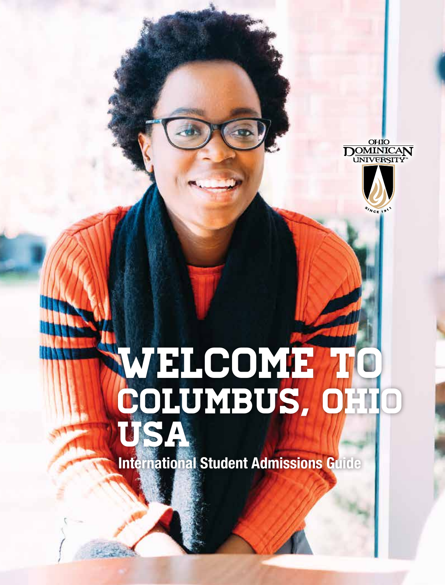



# WELCOME TO Columbus, Ohio USA

**International Student Admissions Guide**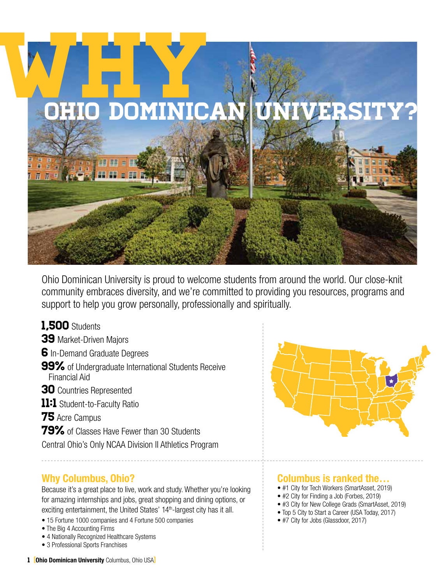

Ohio Dominican University is proud to welcome students from around the world. Our close-knit community embraces diversity, and we're committed to providing you resources, programs and support to help you grow personally, professionally and spiritually.

### 1,500 Students

W

39 Market-Driven Majors

6 In-Demand Graduate Degrees

- 99% of Undergraduate International Students Receive Financial Aid
- **30** Countries Represented
- 11:1 Student-to-Faculty Ratio

75 Acre Campus

79% of Classes Have Fewer than 30 Students

Central Ohio's Only NCAA Division II Athletics Program

### **Why Columbus, Ohio?**

Because it's a great place to live, work and study. Whether you're looking for amazing internships and jobs, great shopping and dining options, or exciting entertainment, the United States' 14<sup>th</sup>-largest city has it all.

- 15 Fortune 1000 companies and 4 Fortune 500 companies
- The Big 4 Accounting Firms
- 4 Nationally Recognized Healthcare Systems
- 3 Professional Sports Franchises



### **Columbus is ranked the…**

- #1 City for Tech Workers (SmartAsset, 2019)
- #2 City for Finding a Job (Forbes, 2019)
- #3 City for New College Grads (SmartAsset, 2019)
- Top 5 City to Start a Career (USA Today, 2017)
- #7 City for Jobs (Glassdoor, 2017)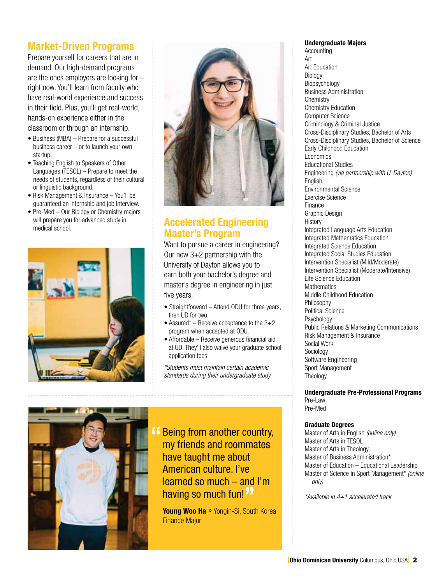### **Market-Driven Programs**

Prepare yourself for careers that are in demand. Our high-demand programs are the ones employers are looking for – right now. You'll learn from faculty who have real-world experience and success in their field. Plus, you'll get real-world, hands-on experience either in the classroom or through an internship.

- Business (MBA) Prepare for a successful business career – or to launch your own startup.
- Teaching English to Speakers of Other Languages (TESOL) – Prepare to meet the needs of students, regardless of their cultural or linguistic background.
- Risk Management & Insurance You'll be guaranteed an internship and job interview.
- Pre-Med Our Biology or Chemistry majors will prepare you for advanced study in medical school.





### **Accelerated Engineering Master's Program**

Want to pursue a career in engineering? Our new 3+2 partnership with the University of Dayton allows you to earn both your bachelor's degree and master's degree in engineering in just five years.

- Straightforward Attend ODU for three years, then UD for two.
- Assured\* Receive acceptance to the  $3+2$ program when accepted at ODU.
- Affordable Receive generous financial aid at UD. They'll also waive your graduate school application fees.

*\*Students must maintain certain academic standards during their undergraduate study.*



**14 Being from another country,<br>my friends and roommates** my friends and roommates have taught me about American culture. I've learned so much – and I'm having so much fun!**"**

**Young Woo Ha** » Yongin-Si, South Korea Finance Major

### **Undergraduate Majors**

Accounting Art Art Education Biology Biopsychology Business Administration **Chemistry** Chemistry Education Computer Science Criminology & Criminal Justice Cross-Disciplinary Studies, Bachelor of Arts Cross-Disciplinary Studies, Bachelor of Science Early Childhood Education **Economics** Educational Studies Engineering *(via partnership with U. Dayton)* **English** Environmental Science Exercise Science Finance Graphic Design **History** Integrated Language Arts Education Integrated Mathematics Education Integrated Science Education Integrated Social Studies Education Intervention Specialist (Mild/Moderate) Intervention Specialist (Moderate/Intensive) Life Science Education **Mathematics** Middle Childhood Education Philosophy Political Science Psychology Public Relations & Marketing Communications Risk Management & Insurance Social Work Sociology Software Engineering Sport Management Theology

**Undergraduate Pre-Professional Programs** Pre-Law Pre-Med

### **Graduate Degrees**

Master of Arts in English *(online only)* Master of Arts in TESOL Master of Arts in Theology Master of Business Administration\* Master of Education – Educational Leadership Master of Science in Sport Management\* *(online only)*

*\*Available in 4+1 accelerated track*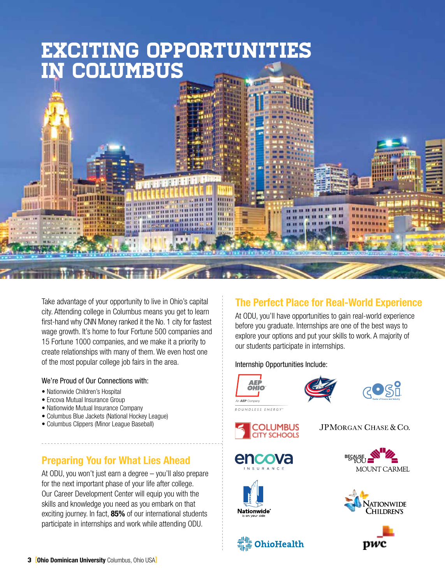## Exciting Opportunities in Columbus



Take advantage of your opportunity to live in Ohio's capital city. Attending college in Columbus means you get to learn first-hand why CNN Money ranked it the No. 1 city for fastest wage growth. It's home to four Fortune 500 companies and 15 Fortune 1000 companies, and we make it a priority to create relationships with many of them. We even host one of the most popular college job fairs in the area.

### We're Proud of Our Connections with:

- Nationwide Children's Hospital
- Encova Mutual Insurance Group
- Nationwide Mutual Insurance Company
- Columbus Blue Jackets (National Hockey League)
- Columbus Clippers (Minor League Baseball)

### **Preparing You for What Lies Ahead**

At ODU, you won't just earn a degree – you'll also prepare for the next important phase of your life after college. Our Career Development Center will equip you with the skills and knowledge you need as you embark on that exciting journey. In fact, **85%** of our international students participate in internships and work while attending ODU.

### **The Perfect Place for Real-World Experience**

At ODU, you'll have opportunities to gain real-world experience before you graduate. Internships are one of the best ways to explore your options and put your skills to work. A majority of our students participate in internships.

### Internship Opportunities Include:











**OhioHealth** 











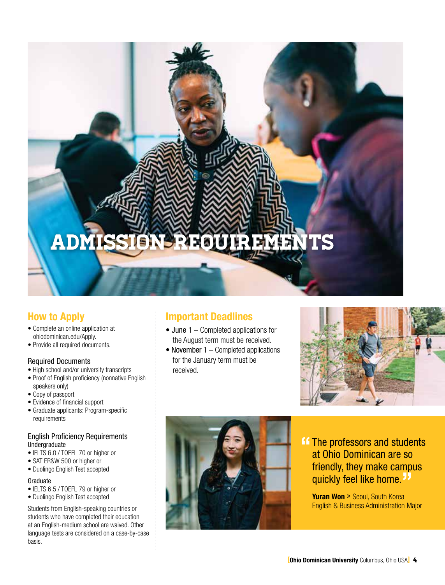# Admission Requirements

### **How to Apply**

- Complete an online application at ohiodominican.edu/Apply.
- Provide all required documents.

### Required Documents

- High school and/or university transcripts
- Proof of English proficiency (nonnative English speakers only)
- Copy of passport
- Evidence of financial support
- Graduate applicants: Program-specific requirements

### English Proficiency Requirements **Undergraduate**

- IELTS 6.0 / TOEFL 70 or higher or
- SAT ER&W 500 or higher or
- Duolingo English Test accepted

### Graduate

- IELTS 6.5 / TOEFL 79 or higher or
- Duolingo English Test accepted

Students from English-speaking countries or students who have completed their education at an English-medium school are waived. Other language tests are considered on a case-by-case basis.

### **Important Deadlines**

- $\bullet$  June 1 Completed applications for the August term must be received.
- November  $1$  Completed applications for the January term must be received.





**14 The professors and students<br>at Ohio Dominican are so** at Ohio Dominican are so friendly, they make campus quickly feel like home.**"**

**Yuran Won** » Seoul, South Korea English & Business Administration Major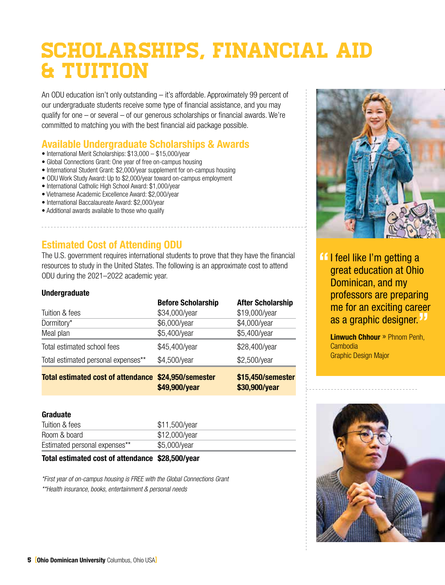# Scholarships, Financial Aid & Tuition

An ODU education isn't only outstanding – it's affordable. Approximately 99 percent of our undergraduate students receive some type of financial assistance, and you may qualify for one – or several – of our generous scholarships or financial awards. We're committed to matching you with the best financial aid package possible.

### **Available Undergraduate Scholarships & Awards**

- International Merit Scholarships: \$13,000 \$15,000/year
- Global Connections Grant: One year of free on-campus housing
- International Student Grant: \$2,000/year supplement for on-campus housing
- ODU Work Study Award: Up to \$2,000/year toward on-campus employment
- International Catholic High School Award: \$1,000/year
- Vietnamese Academic Excellence Award: \$2,000/year
- International Baccalaureate Award: \$2,000/year
- Additional awards available to those who qualify

### **Estimated Cost of Attending ODU**

The U.S. government requires international students to prove that they have the financial resources to study in the United States. The following is an approximate cost to attend ODU during the 2021–2022 academic year.

### **Undergraduate**

| Tuition & fees                            | <b>Before Scholarship</b><br>\$34,000/year | <b>After Scholarship</b><br>\$19,000/year |
|-------------------------------------------|--------------------------------------------|-------------------------------------------|
| Dormitory*                                | \$6,000/year                               | \$4,000/year                              |
| Meal plan                                 | \$5,400/year                               | \$5,400/year                              |
| Total estimated school fees               | \$45,400/year                              | \$28,400/year                             |
| Total estimated personal expenses**       | \$4,500/year                               | \$2,500/year                              |
| <b>Total estimated cost of attendance</b> | \$24,950/semester<br>\$49,900/year         | \$15,450/semester<br>\$30,900/year        |

### **Graduate**

| Tuition & fees                | \$11,500/year |
|-------------------------------|---------------|
| Room & board                  | \$12,000/year |
| Estimated personal expenses** | \$5,000/year  |

### **Total estimated cost of attendance \$28,500/year**

*\*First year of on-campus housing is FREE with the Global Connections Grant \*\*Health insurance, books, entertainment & personal needs*



**If I feel like I'm getting a**<br>areat education at Ohio great education at Ohio Dominican, and my professors are preparing me for an exciting career as a graphic designer.**"**

**Linwuch Chhour**» Phnom Penh, Cambodia Graphic Design Major

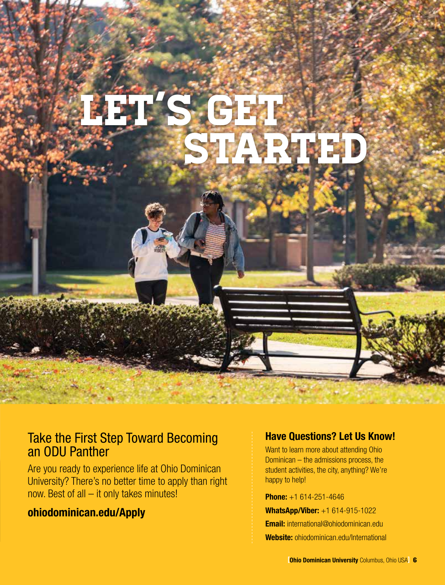

### Take the First Step Toward Becoming an ODU Panther

Are you ready to experience life at Ohio Dominican University? There's no better time to apply than right now. Best of all – it only takes minutes!

### **ohiodominican.edu/Apply**

### **Have Questions? Let Us Know!**

Want to learn more about attending Ohio Dominican – the admissions process, the student activities, the city, anything? We're happy to help!

**Phone:** +1 614-251-4646 **WhatsApp/Viber:** +1 614-915-1022 **Email:** international@ohiodominican.edu **Website:** ohiodominican.edu/International